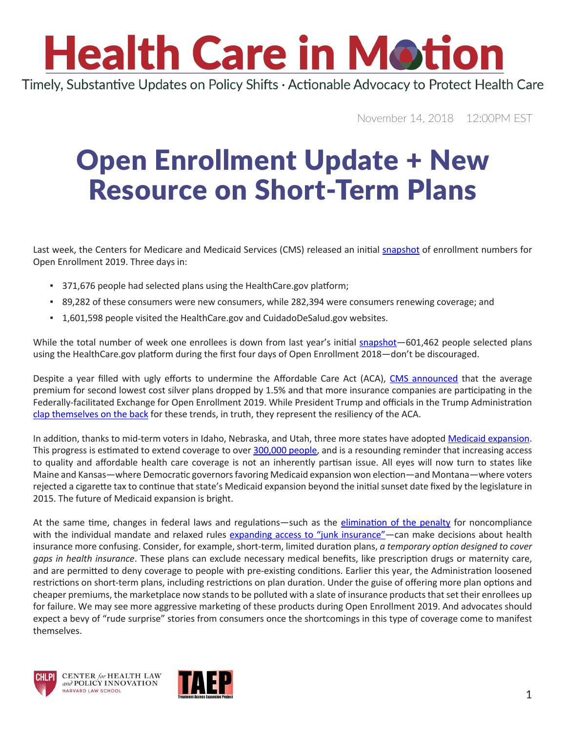# **Health Care in Motion**

Timely, Substantive Updates on Policy Shifts · Actionable Advocacy to Protect Health Care

November 14, 2018 12:00PM EST

### Open Enrollment Update + New Resource on Short-Term Plans

Last week, the Centers for Medicare and Medicaid Services (CMS) released an initial [snapshot](https://www.cms.gov/newsroom/fact-sheets/weekly-enrollment-snapshot-week-1) of enrollment numbers for Open Enrollment 2019. Three days in:

- 371,676 people had selected plans using the HealthCare.gov platform;
- **•** 89,282 of these consumers were new consumers, while 282,394 were consumers renewing coverage; and
- 1,601,598 people visited the HealthCare.gov and CuidadoDeSalud.gov websites.

While the total number of week one enrollees is down from last year's initial [snapshot](https://www.cms.gov/newsroom/fact-sheets/weekly-enrollment-snapshot-week-one)-601,462 people selected plans using the HealthCare.gov platform during the first four days of Open Enrollment 2018—don't be discouraged.

Despite a year filled with ugly efforts to undermine the Affordable Care Act (ACA), [CMS announced](https://www.cms.gov/newsroom/press-releases/premiums-federally-facilitated-exchanges-drop-2019) that the average premium for second lowest cost silver plans dropped by 1.5% and that more insurance companies are participating in the Federally-facilitated Exchange for Open Enrollment 2019. While President Trump and officials in the Trump Administration [clap themselves on the back](https://www.youtube.com/watch?v=EUx705bozA4) for these trends, in truth, they represent the resiliency of the ACA.

In addition, thanks to mid-term voters in Idaho, Nebraska, and Utah, three more states have adopted [Medicaid expansion](https://www.chlpi.org/wp-content/uploads/2013/12/HCIM_11_05_2018.pdf). This progress is estimated to extend coverage to over [300,000 people,](https://www.vox.com/2018/11/7/18055848/medicaid-expansion-idaho-nebraska-utah) and is a resounding reminder that increasing access to quality and affordable health care coverage is not an inherently partisan issue. All eyes will now turn to states like Maine and Kansas—where Democratic governors favoring Medicaid expansion won election—and Montana—where voters rejected a cigarette tax to continue that state's Medicaid expansion beyond the initial sunset date fixed by the legislature in 2015. The future of Medicaid expansion is bright.

At the same time, changes in federal laws and regulations—such as the [elimination of the penalty](https://www.chlpi.org/wp-content/uploads/2013/12/HCIM_09_06_2018.pdf) for noncompliance with the individual mandate and relaxed rules [expanding access to "junk insurance"](https://www.chlpi.org/wp-content/uploads/2013/12/HCIM_08_06_2018.pdf)—can make decisions about health insurance more confusing. Consider, for example, short-term, limited duration plans, *a temporary option designed to cover gaps in health insurance*. These plans can exclude necessary medical benefits, like prescription drugs or maternity care, and are permitted to deny coverage to people with pre-existing conditions. Earlier this year, the Administration loosened restrictions on short-term plans, including restrictions on plan duration. Under the guise of offering more plan options and cheaper premiums, the marketplace now stands to be polluted with a slate of insurance products that set their enrollees up for failure. We may see more aggressive marketing of these products during Open Enrollment 2019. And advocates should expect a bevy of "rude surprise" stories from consumers once the shortcomings in this type of coverage come to manifest themselves.